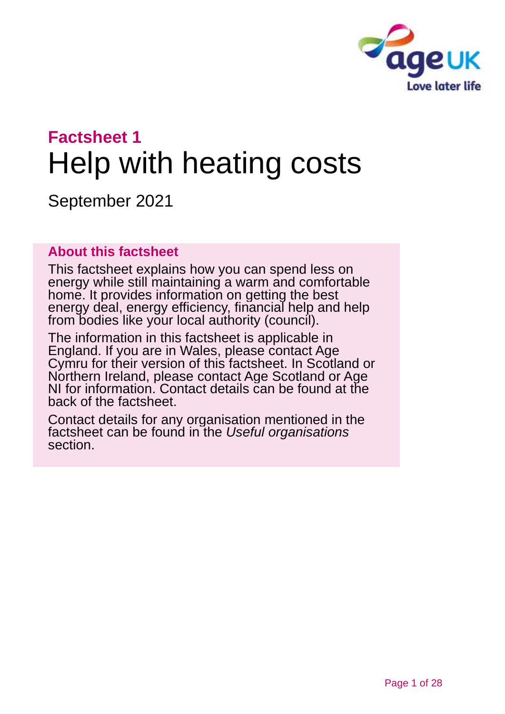

# **Factsheet 1** Help with heating costs

September 2021

### **About this factsheet**

This factsheet explains how you can spend less on energy while still maintaining a warm and comfortable home. It provides information on getting the best energy deal, energy efficiency, financial help and help from bodies like your local authority (council).

The information in this factsheet is applicable in England. If you are in Wales, please contact Age Cymru for their version of this factsheet. In Scotland or Northern Ireland, please [contact Age Scotland or Age](#page-26-0)  [NI](#page-26-0) for information. Contact details can be found at the back of the factsheet.

Contact details for any organisation mentioned in the factsheet can be found in the *[Useful organisations](#page-23-0)* section.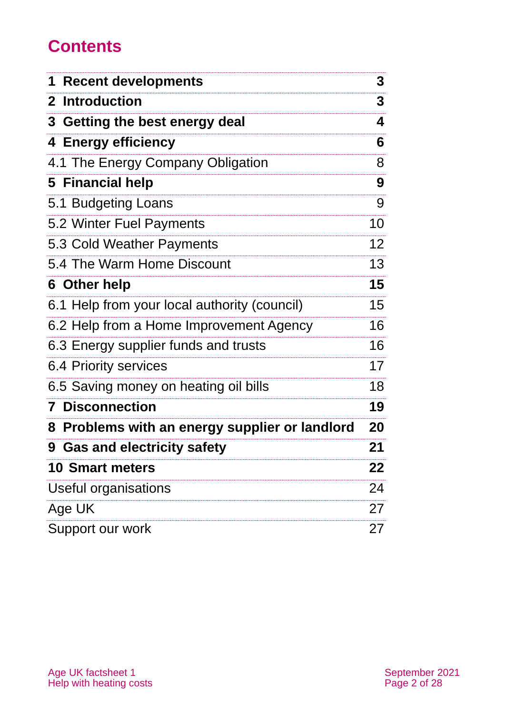# **Contents**

| 1 Recent developments                          | 3  |
|------------------------------------------------|----|
| 2 Introduction                                 | 3  |
| 3 Getting the best energy deal                 | 4  |
| 4 Energy efficiency                            | 6  |
| 4.1 The Energy Company Obligation              | 8  |
| 5 Financial help                               | 9  |
| 5.1 Budgeting Loans                            | 9  |
| 5.2 Winter Fuel Payments                       | 10 |
| 5.3 Cold Weather Payments                      | 12 |
| 5.4 The Warm Home Discount                     | 13 |
| 6 Other help                                   | 15 |
| 6.1 Help from your local authority (council)   | 15 |
| 6.2 Help from a Home Improvement Agency        | 16 |
| 6.3 Energy supplier funds and trusts           | 16 |
| 6.4 Priority services                          | 17 |
| 6.5 Saving money on heating oil bills          | 18 |
| <b>Disconnection</b><br>7                      | 19 |
| 8 Problems with an energy supplier or landlord | 20 |
| <b>9 Gas and electricity safety</b>            | 21 |
| <b>10 Smart meters</b>                         | 22 |
| Useful organisations                           | 24 |
| Age UK                                         | 27 |
| Support our work                               | 27 |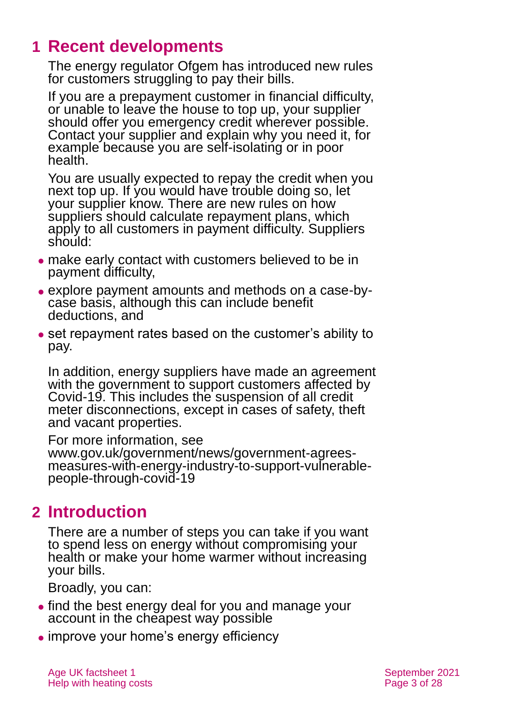# <span id="page-2-0"></span>**1 Recent developments**

<span id="page-2-1"></span>The energy regulator Ofgem has introduced new rules for customers struggling to pay their bills.

If you are a prepayment customer in financial difficulty, or unable to leave the house to top up, your supplier should offer you emergency credit wherever possible. Contact your supplier and explain why you need it, for example because you are self-isolating or in poor health.

You are usually expected to repay the credit when you next top up. If you would have trouble doing so, let your supplier know. There are new rules on how suppliers should calculate repayment plans, which apply to all customers in payment difficulty. Suppliers should:

- ⚫ make early contact with customers believed to be in payment difficulty,
- ⚫ explore payment amounts and methods on a case-bycase basis, although this can include benefit deductions, and
- ⚫ set repayment rates based on the customer's ability to pay.

In addition, energy suppliers have made an agreement with the government to support customers affected by Covid-19. This includes the suspension of all credit meter disconnections, except in cases of safety, theft and vacant properties.

For more information, see [www.gov.uk/government/news/government-agrees](http://www.gov.uk/government/news/government-agrees-measures-with-energy-industry-to-support-vulnerable-people-through-covid-19)[measures-with-energy-industry-to-support-vulnerable](http://www.gov.uk/government/news/government-agrees-measures-with-energy-industry-to-support-vulnerable-people-through-covid-19)[people-through-covid-19](http://www.gov.uk/government/news/government-agrees-measures-with-energy-industry-to-support-vulnerable-people-through-covid-19)

# **2 Introduction**

There are a number of steps you can take if you want to spend less on energy without compromising your health or make your home warmer without increasing your bills.

Broadly, you can:

- find the best energy deal for you and manage your account in the cheapest way possible
- improve your home's energy efficiency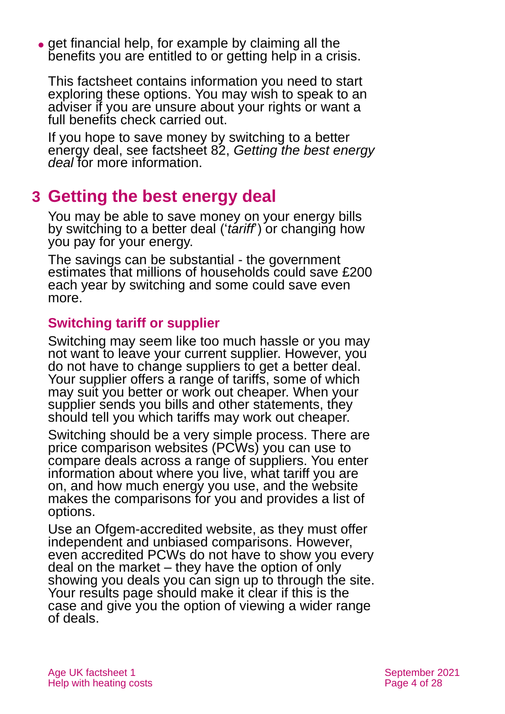• get financial help, for example by claiming all the benefits you are entitled to or getting help in a crisis.

This factsheet contains information you need to start exploring these options. You may wish to speak to an adviser if you are unsure about your rights or want a full benefits check carried out.

If you hope to save money by switching to a better energy deal, see factsheet 82, *[Getting the best energy](http://www.ageuk.org.uk/globalassets/age-uk/documents/factsheets/fs82_getting_the_best_energy_deal_fcs.pdf)  [deal](http://www.ageuk.org.uk/globalassets/age-uk/documents/factsheets/fs82_getting_the_best_energy_deal_fcs.pdf)* for more information.

# <span id="page-3-0"></span>**3 Getting the best energy deal**

You may be able to save money on your energy bills by switching to a better deal ('*tariff*') or changing how you pay for your energy.

The savings can be substantial - the government estimates that millions of households could save £200 each year by switching and some could save even more.

### **Switching tariff or supplier**

Switching may seem like too much hassle or you may not want to leave your current supplier. However, you do not have to change suppliers to get a better deal. Your supplier offers a range of tariffs, some of which may suit you better or work out cheaper. When your supplier sends you bills and other statements, they should tell you which tariffs may work out cheaper.

Switching should be a very simple process. There are price comparison websites (PCWs) you can use to compare deals across a range of suppliers. You enter information about where you live, what tariff you are on, and how much energy you use, and the website makes the comparisons for you and provides a list of options.

Use an Ofgem-accredited website, as they must offer independent and unbiased comparisons. However, even accredited PCWs do not have to show you every deal on the market – they have the option of only showing you deals you can sign up to through the site. Your results page should make it clear if this is the case and give you the option of viewing a wider range of deals.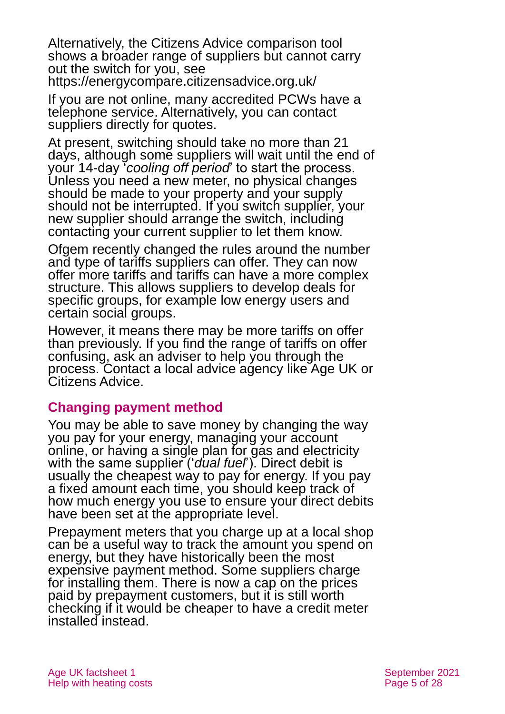Alternatively, the Citizens Advice comparison tool shows a broader range of suppliers but cannot carry out the switch for you, see <https://energycompare.citizensadvice.org.uk/>

If you are not online, many accredited PCWs have a telephone service. Alternatively, you can contact suppliers directly for quotes.

At present, switching should take no more than 21 days, although some suppliers will wait until the end of your 14-day '*cooling off period*' to start the process. Unless you need a new meter, no physical changes should be made to your property and your supply should not be interrupted. If you switch supplier, your new supplier should arrange the switch, including contacting your current supplier to let them know.

Ofgem recently changed the rules around the number and type of tariffs suppliers can offer. They can now offer more tariffs and tariffs can have a more complex structure. This allows suppliers to develop deals for specific groups, for example low energy users and certain social groups.

However, it means there may be more tariffs on offer than previously. If you find the range of tariffs on offer confusing, ask an adviser to help you through the process. Contact a local advice agency like [Age UK](#page-26-1) or [Citizens Advice.](http://www.citizensadvice.org.uk/)

#### **Changing payment method**

You may be able to save money by changing the way you pay for your energy, managing your account online, or having a single plan for gas and electricity with the same supplier ('*dual fuel*'). Direct debit is usually the cheapest way to pay for energy. If you pay a fixed amount each time, you should keep track of how much energy you use to ensure your direct debits have been set at the appropriate level.

Prepayment meters that you charge up at a local shop can be a useful way to track the amount you spend on energy, but they have historically been the most expensive payment method. Some suppliers charge for installing them. There is now a cap on the prices paid by prepayment customers, but it is still worth checking if it would be cheaper to have a credit meter installed instead.

Age UK factsheet 1 September 2021 Help with heating costs Page 5 of 28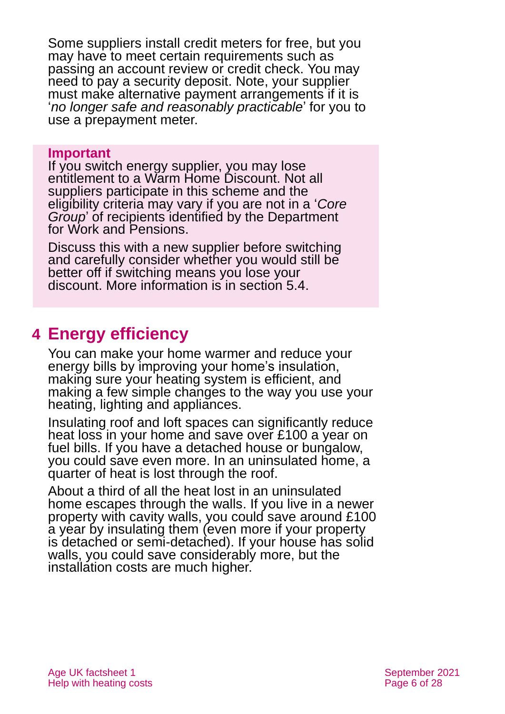Some suppliers install credit meters for free, but you may have to meet certain requirements such as passing an account review or credit check. You may need to pay a security deposit. Note, your supplier must make alternative payment arrangements if it is '*no longer safe and reasonably practicable*' for you to use a prepayment meter.

#### **Important**

If you switch energy supplier, you may lose entitlement to a Warm Home Discount. Not all suppliers participate in this scheme and the eligibility criteria may vary if you are not in a '*Core Group*' of recipients identified by the Department for Work and Pensions.

Discuss this with a new supplier before switching and carefully consider whether you would still be better off if switching means you lose your discount. More information is in [section 5.4.](#page-12-0)

# <span id="page-5-0"></span>**4 Energy efficiency**

You can make your home warmer and reduce your energy bills by improving your home's insulation, making sure your heating system is efficient, and making a few simple changes to the way you use your heating, lighting and appliances.

Insulating roof and loft spaces can significantly reduce heat loss in your home and save over £100 a year on fuel bills. If you have a detached house or bungalow, you could save even more. In an uninsulated home, a quarter of heat is lost through the roof.

About a third of all the heat lost in an uninsulated home escapes through the walls. If you live in a newer property with cavity walls, you could save around £100 a year by insulating them (even more if your property is detached or semi-detached). If your house has solid walls, you could save considerably more, but the installation costs are much higher.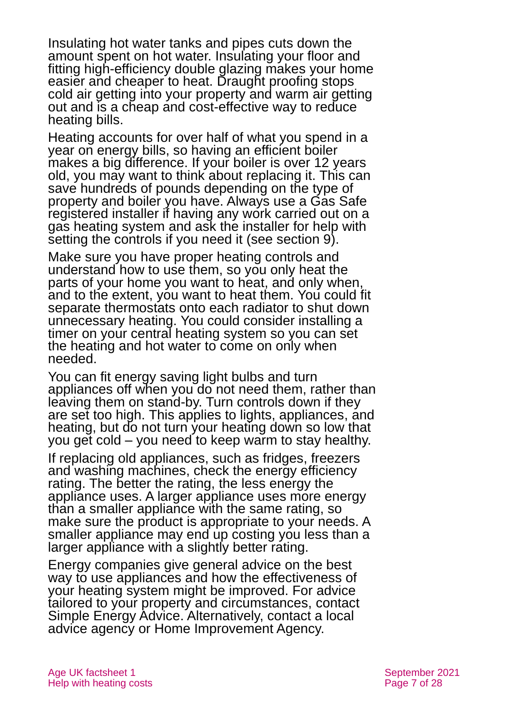Insulating hot water tanks and pipes cuts down the amount spent on hot water. Insulating your floor and fitting high-efficiency double glazing makes your home easier and cheaper to heat. Draught proofing stops cold air getting into your property and warm air getting out and is a cheap and cost-effective way to reduce heating bills.

Heating accounts for over half of what you spend in a year on energy bills, so having an efficient boiler makes a big difference. If your boiler is over 12 years old, you may want to think about replacing it. This can save hundreds of pounds depending on the type of property and boiler you have. Always use a Gas Safe registered installer if having any work carried out on a gas heating system and ask the installer for help with setting the controls if you need it (see [section 9\)](#page-20-0).

Make sure you have proper heating controls and understand how to use them, so you only heat the parts of your home you want to heat, and only when, and to the extent, you want to heat them. You could fit separate thermostats onto each radiator to shut down unnecessary heating. You could consider installing a timer on your central heating system so you can set the heating and hot water to come on only when needed.

You can fit energy saving light bulbs and turn appliances off when you do not need them, rather than leaving them on stand-by. Turn controls down if they are set too high. This applies to lights, appliances, and heating, but do not turn your heating down so low that you get cold – you need to keep warm to stay healthy.

If replacing old appliances, such as fridges, freezers and washing machines, check the energy efficiency rating. The better the rating, the less energy the appliance uses. A larger appliance uses more energy than a smaller appliance with the same rating, so make sure the product is appropriate to your needs. A smaller appliance may end up costing you less than a larger appliance with a slightly better rating.

Energy companies give general advice on the best way to use appliances and how the effectiveness of your heating system might be improved. For advice tailored to your property and circumstances, contact Simple Energy Advice. Alternatively, contact a local advice agency or Home Improvement Agency.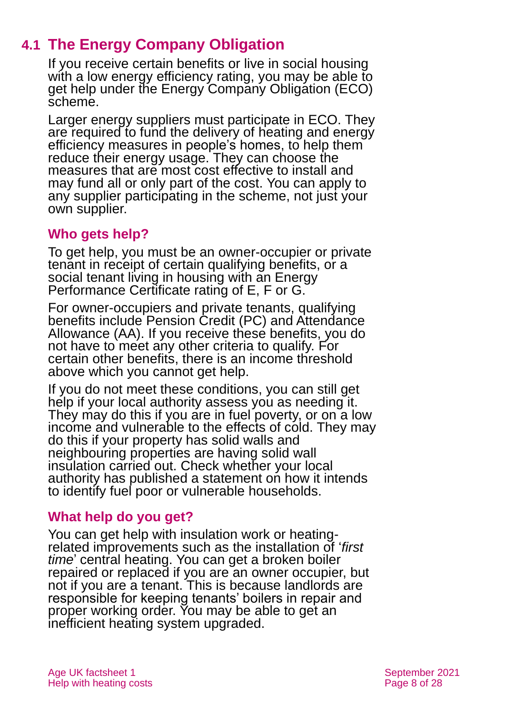# **4.1 The Energy Company Obligation**

If you receive certain benefits or live in social housing with a low energy efficiency rating, you may be able to get help under the Energy Company Obligation (ECO) scheme.

Larger energy suppliers must participate in ECO. They are required to fund the delivery of heating and energy efficiency measures in people's homes, to help them reduce their energy usage. They can choose the measures that are most cost effective to install and may fund all or only part of the cost. You can apply to any supplier participating in the scheme, not just your own supplier.

### **Who gets help?**

To get help, you must be an owner-occupier or private tenant in receipt of certain qualifying benefits, or a social tenant living in housing with an Energy Performance Certificate rating of E, F or G.

For owner-occupiers and private tenants, qualifying benefits include Pension Credit (PC) and Attendance Allowance (AA). If you receive these benefits, you do not have to meet any other criteria to qualify. For certain other benefits, there is an income threshold above which you cannot get help.

If you do not meet these conditions, you can still get help if your local authority assess you as needing it. They may do this if you are in fuel poverty, or on a low income and vulnerable to the effects of cold. They may do this if your property has solid walls and neighbouring properties are having solid wall insulation carried out. Check whether your local authority has published a statement on how it intends to identify fuel poor or vulnerable households.

### **What help do you get?**

You can get help with insulation work or heatingrelated improvements such as the installation of '*first time*' central heating. You can get a broken boiler repaired or replaced if you are an owner occupier, but not if you are a tenant. This is because landlords are responsible for keeping tenants' boilers in repair and proper working order. You may be able to get an inefficient heating system upgraded.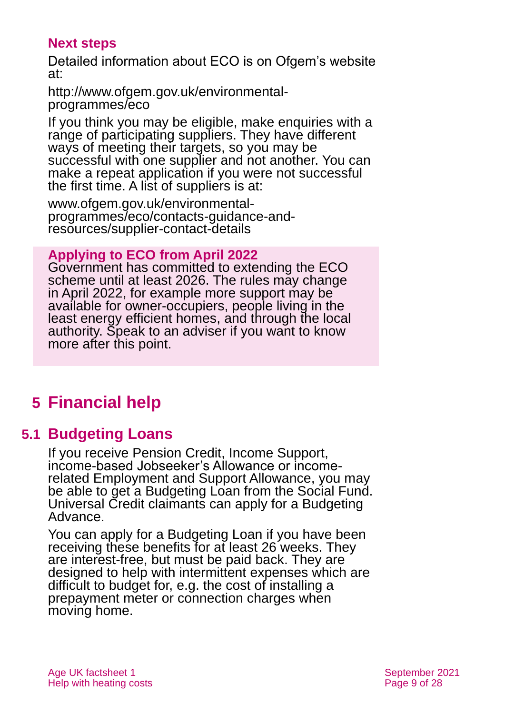### **Next steps**

Detailed information about ECO is on Ofgem's website at:

[http://www.ofgem.gov.uk/environmental](http://www.ofgem.gov.uk/environmental-programmes/eco)[programmes/eco](http://www.ofgem.gov.uk/environmental-programmes/eco)

If you think you may be eligible, make enquiries with a range of participating suppliers. They have different ways of meeting their targets, so you may be successful with one supplier and not another. You can make a repeat application if you were not successful the first time. A list of suppliers is at:

[www.ofgem.gov.uk/environmental](http://www.ofgem.gov.uk/environmental-programmes/eco/contacts-guidance-and-resources/supplier-contact-details)[programmes/eco/contacts-guidance-and](http://www.ofgem.gov.uk/environmental-programmes/eco/contacts-guidance-and-resources/supplier-contact-details)[resources/supplier-contact-details](http://www.ofgem.gov.uk/environmental-programmes/eco/contacts-guidance-and-resources/supplier-contact-details)

**Applying to ECO from April 2022**

Government has committed to extending the ECO scheme until at least 2026. The rules may change in April 2022, for example more support may be available for owner-occupiers, people living in the least energy efficient homes, and through the local authority. Speak to an adviser if you want to know more after this point.

# <span id="page-8-0"></span>**5 Financial help**

### **5.1 Budgeting Loans**

If you receive Pension Credit, Income Support, income-based Jobseeker's Allowance or incomerelated Employment and Support Allowance, you may be able to get a Budgeting Loan from the Social Fund. Universal Credit claimants can apply for a Budgeting Advance.

You can apply for a Budgeting Loan if you have been receiving these benefits for at least 26 weeks. They are interest-free, but must be paid back. They are designed to help with intermittent expenses which are difficult to budget for, e.g. the cost of installing a prepayment meter or connection charges when moving home.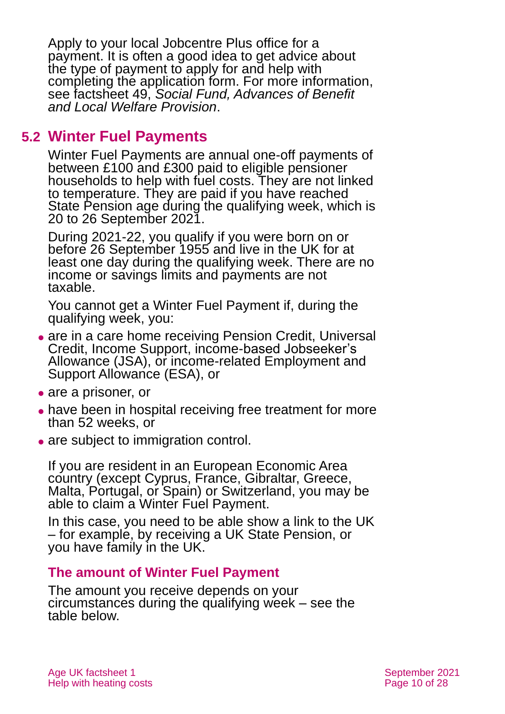Apply to your local Jobcentre Plus office for a payment. It is often a good idea to get advice about the type of payment to apply for and help with completing the application form. For more information, see factsheet 49, *[Social Fund, Advances of Benefit](https://www.ageuk.org.uk/globalassets/age-uk/documents/factsheets/fs49_the_social_fund_advances_of_benefit_and_local_welfare_provision_fcs.pdf)  [and Local Welfare Provision](https://www.ageuk.org.uk/globalassets/age-uk/documents/factsheets/fs49_the_social_fund_advances_of_benefit_and_local_welfare_provision_fcs.pdf)*.

# **5.2 Winter Fuel Payments**

Winter Fuel Payments are annual one-off payments of between £100 and £300 paid to eligible pensioner households to help with fuel costs. They are not linked to temperature. They are paid if you have reached State Pension age during the qualifying week, which is 20 to 26 September 2021.

During 2021-22, you qualify if you were born on or before 26 September 1955 and live in the UK for at least one day during the qualifying week. There are no income or savings limits and payments are not taxable.

You cannot get a Winter Fuel Payment if, during the qualifying week, you:

- are in a care home receiving Pension Credit, Universal Credit, Income Support, income-based Jobseeker's Allowance (JSA), or income-related Employment and Support Allowance (ESA), or
- are a prisoner, or
- have been in hospital receiving free treatment for more than 52 weeks, or
- are subject to immigration control.

If you are resident in an European Economic Area country (except Cyprus, France, Gibraltar, Greece, Malta, Portugal, or Spain) or Switzerland, you may be able to claim a Winter Fuel Payment.

In this case, you need to be able show a link to the UK – for example, by receiving a UK State Pension, or you have family in the UK.

#### **The amount of Winter Fuel Payment**

The amount you receive depends on your circumstances during the qualifying week – see the table below.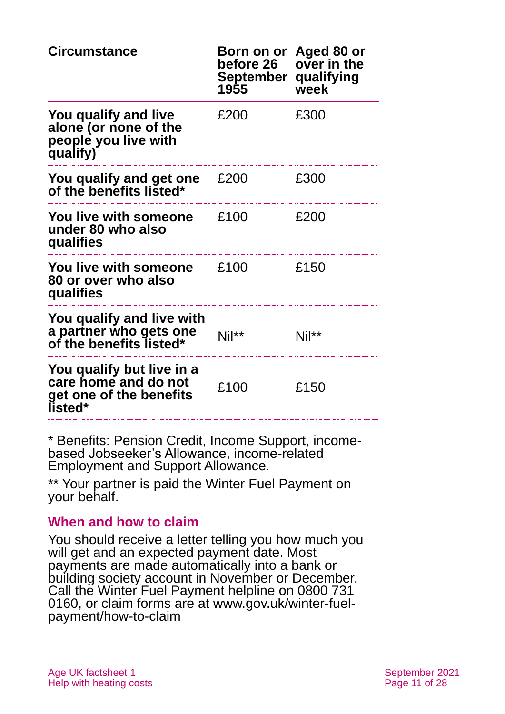| <b>Circumstance</b>                                                                     | Born on or Aged 80 or<br><b>before 26</b><br>September qualifying<br>1955 | over in the<br>week |
|-----------------------------------------------------------------------------------------|---------------------------------------------------------------------------|---------------------|
| You qualify and live<br>alone (or none of the<br>people you live with<br>qualify)       | £200                                                                      | £300                |
| You qualify and get one<br>of the benefits listed*                                      | £200                                                                      | £300                |
| <b>You live with someone</b><br>under 80 who also<br>qualifies                          | £100                                                                      | £200                |
| <b>You live with someone</b><br>80 or over who also<br>qualifies                        | £100                                                                      | £150                |
| You qualify and live with<br>a partner who gets one<br>of the benefits listed*          | Nil**                                                                     | Nil**               |
| You qualify but live in a<br>care home and do not<br>get one of the benefits<br>listed* | £100                                                                      | £150                |

\* Benefits: Pension Credit, Income Support, incomebased Jobseeker's Allowance, income-related Employment and Support Allowance.

\*\* Your partner is paid the Winter Fuel Payment on your behalf.

#### **When and how to claim**

You should receive a letter telling you how much you will get and an expected payment date. Most payments are made automatically into a bank or building society account in November or December. Call the Winter Fuel Payment helpline on 0800 731 0160, or claim forms are at [www.gov.uk/winter-fuel](https://www.gov.uk/winter-fuel-payment/how-to-claim)[payment/how-to-claim](https://www.gov.uk/winter-fuel-payment/how-to-claim)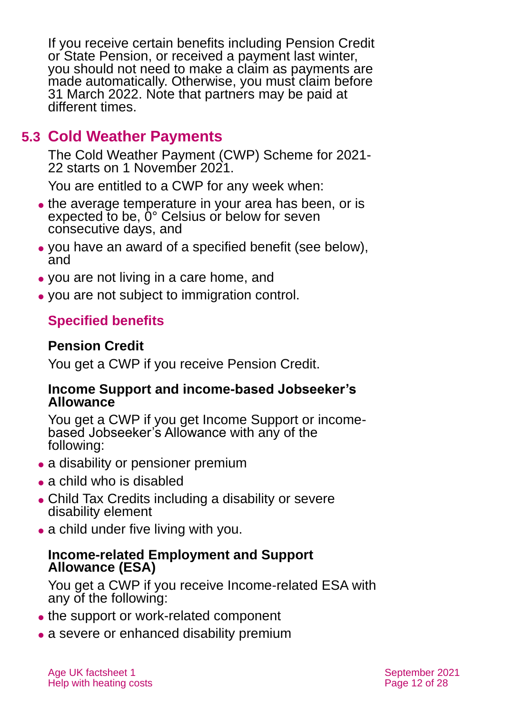If you receive certain benefits including Pension Credit or State Pension, or received a payment last winter, you should not need to make a claim as payments are made automatically. Otherwise, you must claim before 31 March 2022. Note that partners may be paid at different times.

# **5.3 Cold Weather Payments**

The Cold Weather Payment (CWP) Scheme for 2021- 22 starts on 1 November 2021.

You are entitled to a CWP for any week when:

- the average temperature in your area has been, or is expected to be, 0° Celsius or below for seven consecutive days, and
- ⚫ you have an award of a specified benefit (see below), and
- ⚫ you are not living in a care home, and
- ⚫ you are not subject to immigration control.

### **Specified benefits**

### **Pension Credit**

You get a CWP if you receive Pension Credit.

#### **Income Support and income-based Jobseeker's Allowance**

You get a CWP if you get Income Support or incomebased Jobseeker's Allowance with any of the following:

- a disability or pensioner premium
- a child who is disabled
- ⚫ Child Tax Credits including a disability or severe disability element
- a child under five living with you.

### **Income-related Employment and Support Allowance (ESA)**

You get a CWP if you receive Income-related ESA with any of the following:

- the support or work-related component
- a severe or enhanced disability premium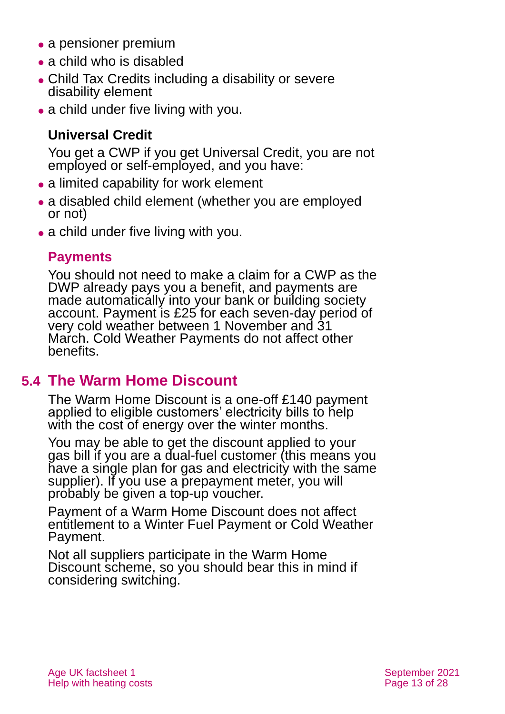- a pensioner premium
- ⚫ a child who is disabled
- ⚫ Child Tax Credits including a disability or severe disability element
- a child under five living with you.

## **Universal Credit**

You get a CWP if you get Universal Credit, you are not employed or self-employed, and you have:

- a limited capability for work element
- a disabled child element (whether you are employed or not)
- a child under five living with you.

### **Payments**

You should not need to make a claim for a CWP as the DWP already pays you a benefit, and payments are made automatically into your bank or building society account. Payment is £25 for each seven-day period of very cold weather between 1 November and 31 March. Cold Weather Payments do not affect other benefits.

# <span id="page-12-0"></span>**5.4 The Warm Home Discount**

The Warm Home Discount is a one-off £140 payment applied to eligible customers' electricity bills to help with the cost of energy over the winter months.

You may be able to get the discount applied to your gas bill if you are a dual-fuel customer (this means you have a single plan for gas and electricity with the same supplier). If you use a prepayment meter, you will probably be given a top-up voucher.

Payment of a Warm Home Discount does not affect entitlement to a Winter Fuel Payment or Cold Weather Payment.

Not all suppliers participate in the Warm Home Discount scheme, so you should bear this in mind if considering switching.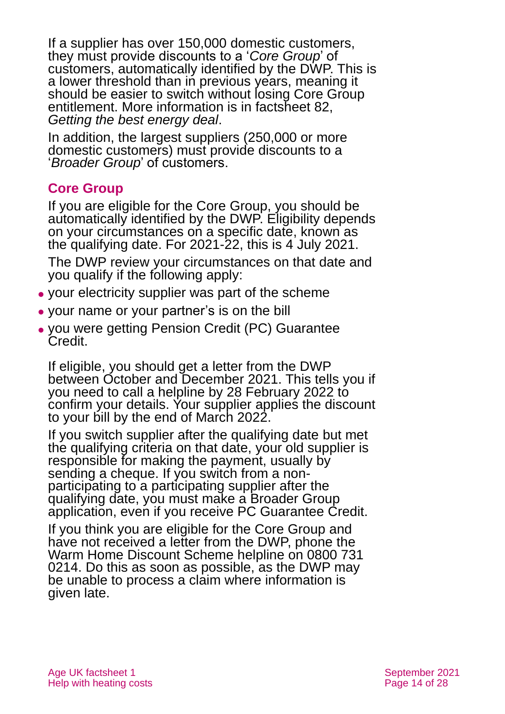If a supplier has over 150,000 domestic customers, they must provide discounts to a '*Core Group*' of customers, automatically identified by the DWP. This is a lower threshold than in previous years, meaning it should be easier to switch without losing Core Group entitlement. More information is in factsheet 82, *[Getting the best energy deal](https://www.ageuk.org.uk/globalassets/age-uk/documents/factsheets/fs82_getting_the_best_energy_deal_fcs.pdf)*.

In addition, the largest suppliers (250,000 or more domestic customers) must provide discounts to a '*Broader Group*' of customers.

### **Core Group**

If you are eligible for the Core Group, you should be automatically identified by the DWP. Eligibility depends on your circumstances on a specific date, known as the qualifying date. For 2021-22, this is 4 July 2021.

The DWP review your circumstances on that date and you qualify if the following apply:

- ⚫ your electricity supplier was part of the scheme
- ⚫ your name or your partner's is on the bill
- ⚫ you were getting Pension Credit (PC) Guarantee Credit.

If eligible, you should get a letter from the DWP between October and December 2021. This tells you if you need to call a helpline by 28 February 2022 to confirm your details. Your supplier applies the discount to your bill by the end of March 2022.

If you switch supplier after the qualifying date but met the qualifying criteria on that date, your old supplier is responsible for making the payment, usually by sending a cheque. If you switch from a nonparticipating to a participating supplier after the qualifying date, you must make a Broader Group application, even if you receive PC Guarantee Credit.

If you think you are eligible for the Core Group and have not received a letter from the DWP, phone the Warm Home Discount Scheme helpline on 0800 731 0214. Do this as soon as possible, as the DWP may be unable to process a claim where information is given late.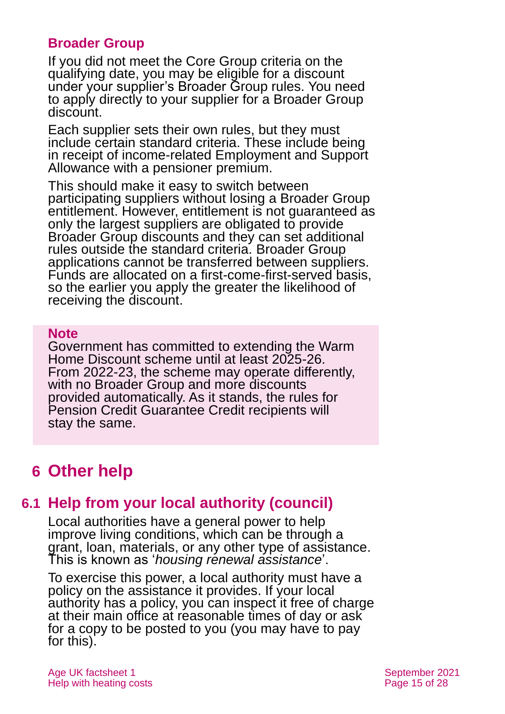### **Broader Group**

If you did not meet the Core Group criteria on the qualifying date, you may be eligible for a discount under your supplier's Broader Group rules. You need to apply directly to your supplier for a Broader Group discount.

Each supplier sets their own rules, but they must include certain standard criteria. These include being in receipt of income-related Employment and Support Allowance with a pensioner premium.

This should make it easy to switch between participating suppliers without losing a Broader Group entitlement. However, entitlement is not guaranteed as only the largest suppliers are obligated to provide Broader Group discounts and they can set additional rules outside the standard criteria. Broader Group applications cannot be transferred between suppliers. Funds are allocated on a first-come-first-served basis, so the earlier you apply the greater the likelihood of receiving the discount.

#### **Note**

Government has committed to extending the Warm Home Discount scheme until at least 2025-26. From 2022-23, the scheme may operate differently, with no Broader Group and more discounts provided automatically. As it stands, the rules for Pension Credit Guarantee Credit recipients will stay the same.

# <span id="page-14-0"></span>**6 Other help**

# **6.1 Help from your local authority (council)**

Local authorities have a general power to help improve living conditions, which can be through a grant, loan, materials, or any other type of assistance. This is known as '*housing renewal assistance*'.

To exercise this power, a local authority must have a policy on the assistance it provides. If your local authority has a policy, you can inspect it free of charge at their main office at reasonable times of day or ask for a copy to be posted to you (you may have to pay for this).

Age UK factsheet 1 September 2021 Help with heating costs **Page 15 of 28**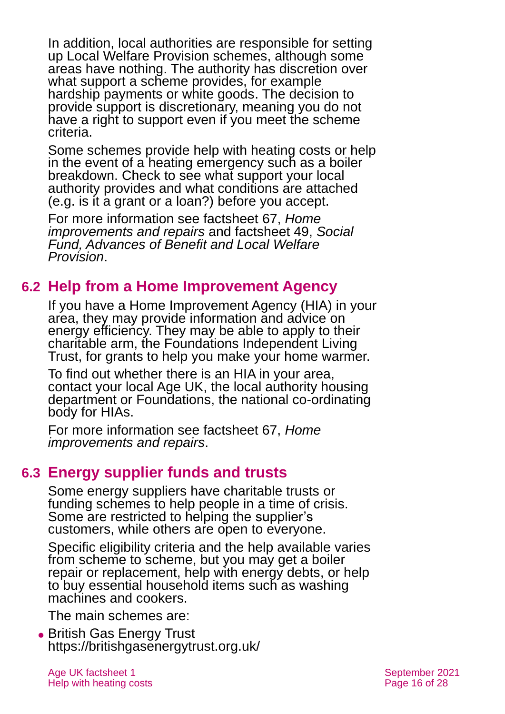In addition, local authorities are responsible for setting up Local Welfare Provision schemes, although some areas have nothing. The authority has discretion over what support a scheme provides, for example hardship payments or white goods. The decision to provide support is discretionary, meaning you do not have a right to support even if you meet the scheme criteria.

Some schemes provide help with heating costs or help in the event of a heating emergency such as a boiler breakdown. Check to see what support your local authority provides and what conditions are attached (e.g. is it a grant or a loan?) before you accept.

For more information see factsheet 67, *[Home](https://www.ageuk.org.uk/globalassets/age-uk/documents/factsheets/fs67_home_improvements_and_repairs_fcs.pdf)  [improvements and repairs](https://www.ageuk.org.uk/globalassets/age-uk/documents/factsheets/fs67_home_improvements_and_repairs_fcs.pdf)* and factsheet 49, *[Social](https://www.ageuk.org.uk/globalassets/age-uk/documents/factsheets/fs49_the_social_fund_advances_of_benefit_and_local_welfare_provision_fcs.pdf)  [Fund, Advances of Benefit and Local Welfare](https://www.ageuk.org.uk/globalassets/age-uk/documents/factsheets/fs49_the_social_fund_advances_of_benefit_and_local_welfare_provision_fcs.pdf)  [Provision](https://www.ageuk.org.uk/globalassets/age-uk/documents/factsheets/fs49_the_social_fund_advances_of_benefit_and_local_welfare_provision_fcs.pdf)*.

### **6.2 Help from a Home Improvement Agency**

If you have a Home Improvement Agency (HIA) in your area, they may provide information and advice on energy efficiency. They may be able to apply to their charitable arm, the [Foundations Independent Living](#page-24-0)  [Trust,](#page-24-0) for grants to help you make your home warmer.

To find out whether there is an HIA in your area, contact your local [Age UK,](#page-26-1) the local authority housing department or [Foundations,](#page-24-0) the national co-ordinating body for HIAs.

For more information see factsheet 67, *[Home](https://www.ageuk.org.uk/globalassets/age-uk/documents/factsheets/fs67_home_improvements_and_repairs_fcs.pdf)  [improvements and repairs](https://www.ageuk.org.uk/globalassets/age-uk/documents/factsheets/fs67_home_improvements_and_repairs_fcs.pdf)*.

### **6.3 Energy supplier funds and trusts**

Some energy suppliers have charitable trusts or funding schemes to help people in a time of crisis. Some are restricted to helping the supplier's customers, while others are open to everyone.

Specific eligibility criteria and the help available varies from scheme to scheme, but you may get a boiler repair or replacement, help with energy debts, or help to buy essential household items such as washing machines and cookers.

The main schemes are:

● [British Gas Energy Trust](http://www.britishgasenergytrust.org.uk/) <https://britishgasenergytrust.org.uk/>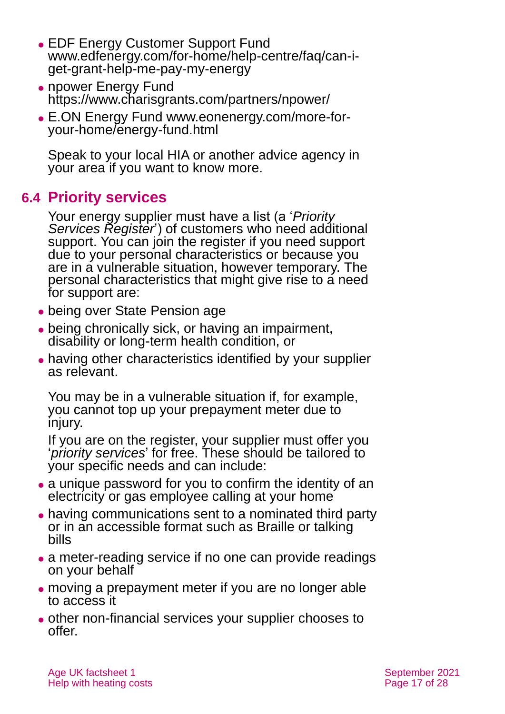- [EDF Energy Customer Support Fund](https://www.edfenergy.com/for-home/help-centre/faq/can-i-get-grant-help-me-pay-my-energy) [www.edfenergy.com/for-home/help-centre/faq/can-i](http://www.edfenergy.com/for-home/help-centre/faq/can-i-get-grant-help-me-pay-my-energy)[get-grant-help-me-pay-my-energy](http://www.edfenergy.com/for-home/help-centre/faq/can-i-get-grant-help-me-pay-my-energy)
- ⚫ [npower Energy Fund](http://www.npowerenergyfund.com/) <https://www.charisgrants.com/partners/npower/>
- ⚫ [E.ON Energy Fund](https://www.eonenergy.com/for-your-home/saving-energy/need-little-extra-help/energy-fund) [www.eonenergy.com/more-for](http://www.eonenergy.com/more-for-your-home/energy-fund.html)[your-home/energy-fund.html](http://www.eonenergy.com/more-for-your-home/energy-fund.html)

Speak to your local HIA or another advice agency in your area if you want to know more.

# **6.4 Priority services**

Your energy supplier must have a list (a '*Priority Services Register*') of customers who need additional support. You can join the register if you need support due to your personal characteristics or because you are in a vulnerable situation, however temporary. The personal characteristics that might give rise to a need for support are:

- ⚫ being over State Pension age
- being chronically sick, or having an impairment, disability or long-term health condition, or
- having other characteristics identified by your supplier as relevant.

You may be in a vulnerable situation if, for example, you cannot top up your prepayment meter due to injury.

If you are on the register, your supplier must offer you '*priority services*' for free. These should be tailored to your specific needs and can include:

- ⚫ a unique password for you to confirm the identity of an electricity or gas employee calling at your home
- having communications sent to a nominated third party or in an accessible format such as Braille or talking bills
- a meter-reading service if no one can provide readings on your behalf
- moving a prepayment meter if you are no longer able to access it
- ⚫ other non-financial services your supplier chooses to offer.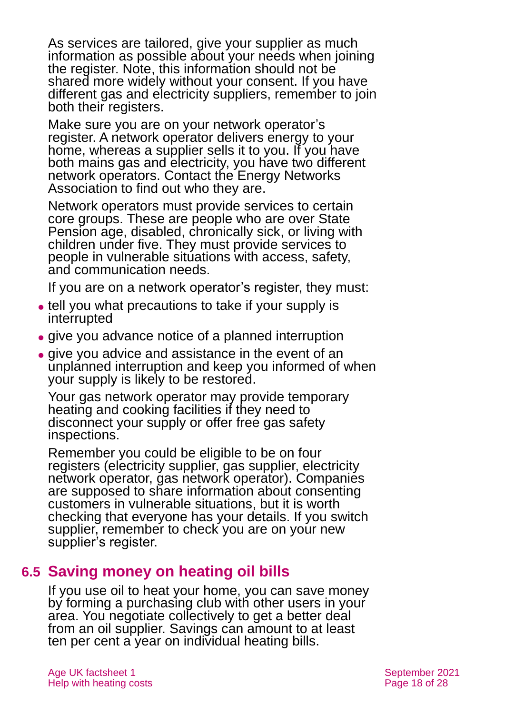As services are tailored, give your supplier as much information as possible about your needs when joining the register. Note, this information should not be shared more widely without your consent. If you have different gas and electricity suppliers, remember to join both their registers.

Make sure you are on your network operator's register. A network operator delivers energy to your home, whereas a supplier sells it to you. If you have both mains gas and electricity, you have two different network operators. Contact the Energy Networks Association to find out who they are.

Network operators must provide services to certain core groups. These are people who are over State Pension age, disabled, chronically sick, or living with children under five. They must provide services to people in vulnerable situations with access, safety, and communication needs.

If you are on a network operator's register, they must:

- ⚫ tell you what precautions to take if your supply is interrupted
- ⚫ give you advance notice of a planned interruption
- ⚫ give you advice and assistance in the event of an unplanned interruption and keep you informed of when your supply is likely to be restored.

Your gas network operator may provide temporary heating and cooking facilities if they need to disconnect your supply or offer free gas safety inspections.

Remember you could be eligible to be on four registers (electricity supplier, gas supplier, electricity network operator, gas network operator). Companies are supposed to share information about consenting customers in vulnerable situations, but it is worth checking that everyone has your details. If you switch supplier, remember to check you are on your new supplier's register.

# **6.5 Saving money on heating oil bills**

If you use oil to heat your home, you can save money by forming a purchasing club with other users in your area. You negotiate collectively to get a better deal from an oil supplier. Savings can amount to at least ten per cent a year on individual heating bills.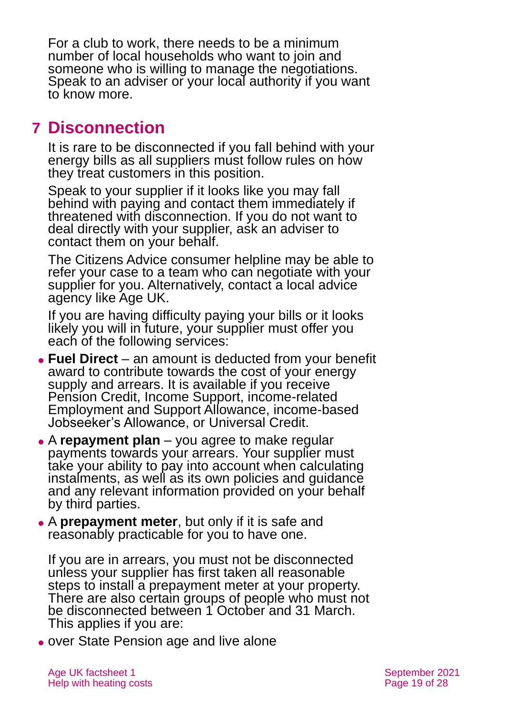For a club to work, there needs to be a minimum number of local households who want to join and someone who is willing to manage the negotiations. Speak to an adviser or your local authority if you want to know more.

# <span id="page-18-0"></span>**7 Disconnection**

It is rare to be disconnected if you fall behind with your energy bills as all suppliers must follow rules on how they treat customers in this position.

Speak to your supplier if it looks like you may fall behind with paying and contact them immediately if threatened with disconnection. If you do not want to deal directly with your supplier, ask an adviser to contact them on your behalf.

The [Citizens Advice consumer](https://www.citizensadvice.org.uk/consumer/get-more-help/if-you-need-more-help-about-a-consumer-issue/) helpline may be able to refer your case to a team who can negotiate with your supplier for you. Alternatively, contact a local advice agency like [Age UK.](#page-26-1)

If you are having difficulty paying your bills or it looks likely you will in future, your supplier must offer you each of the following services:

- ⚫ **Fuel Direct** an amount is deducted from your benefit award to contribute towards the cost of your energy supply and arrears. It is available if you receive Pension Credit, Income Support, income-related Employment and Support Allowance, income-based Jobseeker's Allowance, or Universal Credit.
- ⚫ A **repayment plan** you agree to make regular payments towards your arrears. Your supplier must take your ability to pay into account when calculating instalments, as well as its own policies and guidance and any relevant information provided on your behalf by third parties.
- ⚫ A **prepayment meter**, but only if it is safe and reasonably practicable for you to have one.

If you are in arrears, you must not be disconnected unless your supplier has first taken all reasonable steps to install a prepayment meter at your property. There are also certain groups of people who must not be disconnected between 1 October and 31 March. This applies if you are:

⚫ over State Pension age and live alone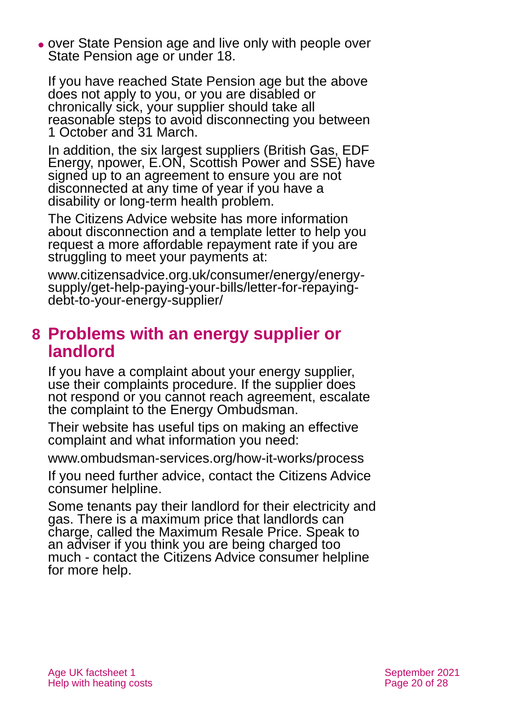⚫ over State Pension age and live only with people over State Pension age or under 18.

If you have reached State Pension age but the above does not apply to you, or you are disabled or chronically sick, your supplier should take all reasonable steps to avoid disconnecting you between 1 October and 31 March.

In addition, the six largest suppliers (British Gas, EDF Energy, npower, E.ON, Scottish Power and SSE) have signed up to an agreement to ensure you are not disconnected at any time of year if you have a disability or long-term health problem.

The Citizens Advice website has more information about disconnection and a template letter to help you request a more affordable repayment rate if you are struggling to meet your payments at:

[www.citizensadvice.org.uk/consumer/energy/energy](http://www.citizensadvice.org.uk/consumer/energy/energy-supply/get-help-paying-your-bills/letter-for-repaying-debt-to-your-energy-supplier/)[supply/get-help-paying-your-bills/letter-for-repaying](http://www.citizensadvice.org.uk/consumer/energy/energy-supply/get-help-paying-your-bills/letter-for-repaying-debt-to-your-energy-supplier/)[debt-to-your-energy-supplier/](http://www.citizensadvice.org.uk/consumer/energy/energy-supply/get-help-paying-your-bills/letter-for-repaying-debt-to-your-energy-supplier/)

# <span id="page-19-0"></span>**8 Problems with an energy supplier or landlord**

If you have a complaint about your energy supplier, use their complaints procedure. If the supplier does not respond or you cannot reach agreement, escalate the complaint to the [Energy Ombudsman.](#page-24-1)

Their website has useful tips on making an effective complaint and what information you need:

[www.ombudsman-services.org/how-it-works/process](http://www.ombudsman-services.org/how-it-works/process)

If you need further advice, contact the [Citizens Advice](https://www.citizensadvice.org.uk/consumer/get-more-help/if-you-need-more-help-about-a-consumer-issue/)  [consumer helpline.](https://www.citizensadvice.org.uk/consumer/get-more-help/if-you-need-more-help-about-a-consumer-issue/)

Some tenants pay their landlord for their electricity and gas. There is a maximum price that landlords can charge, called the Maximum Resale Price. Speak to an adviser if you think you are being charged too much - contact the [Citizens Advice consumer](https://www.citizensadvice.org.uk/consumer/get-more-help/if-you-need-more-help-about-a-consumer-issue/) helpline for more help.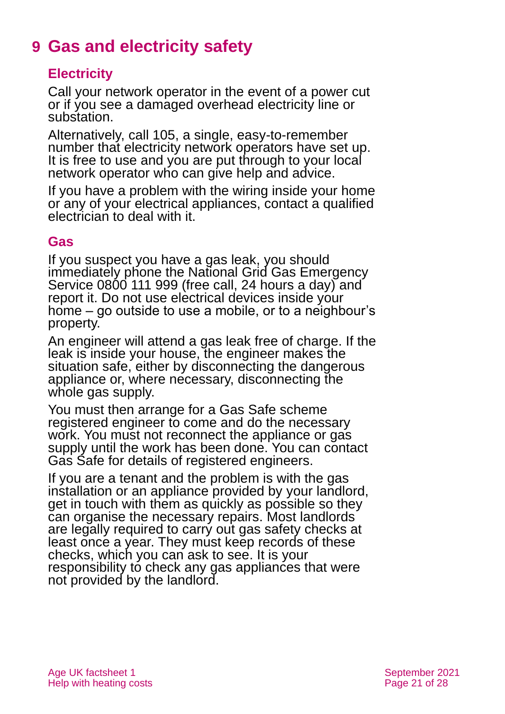# <span id="page-20-0"></span>**9 Gas and electricity safety**

### **Electricity**

Call your network operator in the event of a power cut or if you see a damaged overhead electricity line or substation.

Alternatively, call 105, a single, easy-to-remember number that electricity network operators have set up. It is free to use and you are put through to your local network operator who can give help and advice.

If you have a problem with the wiring inside your home or any of your electrical appliances, contact a qualified electrician to deal with it.

### **Gas**

If you suspect you have a gas leak, you should immediately phone the National Grid Gas Emergency Service 0800 111 999 (free call, 24 hours a day) and report it. Do not use electrical devices inside your home – go outside to use a mobile, or to a neighbour's property.

An engineer will attend a gas leak free of charge. If the leak is inside your house, the engineer makes the situation safe, either by disconnecting the dangerous appliance or, where necessary, disconnecting the whole gas supply.

You must then arrange for a Gas Safe scheme registered engineer to come and do the necessary work. You must not reconnect the appliance or gas supply until the work has been done. You can contact [Gas Safe](#page-24-2) for details of registered engineers.

If you are a tenant and the problem is with the gas installation or an appliance provided by your landlord, get in touch with them as quickly as possible so they can organise the necessary repairs. Most landlords are legally required to carry out gas safety checks at least once a year. They must keep records of these checks, which you can ask to see. It is your responsibility to check any gas appliances that were not provided by the landlord.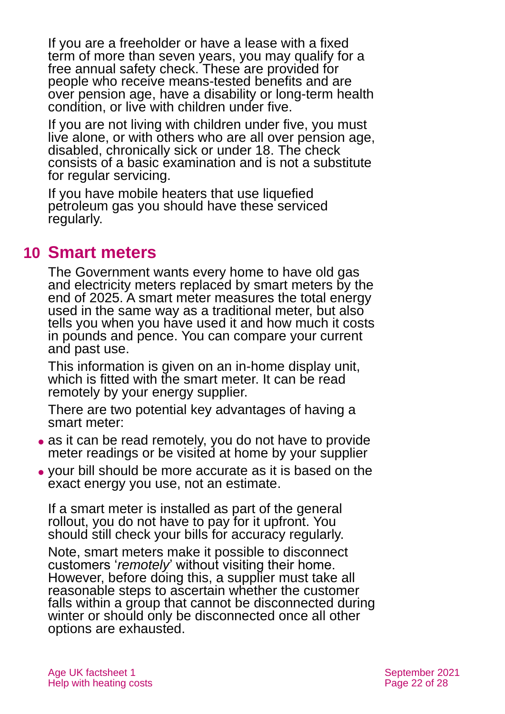If you are a freeholder or have a lease with a fixed term of more than seven years, you may qualify for a free annual safety check. These are provided for people who receive means-tested benefits and are over pension age, have a disability or long-term health condition, or live with children under five.

If you are not living with children under five, you must live alone, or with others who are all over pension age, disabled, chronically sick or under 18. The check consists of a basic examination and is not a substitute for regular servicing.

If you have mobile heaters that use liquefied petroleum gas you should have these serviced regularly.

# <span id="page-21-0"></span>**10 Smart meters**

The Government wants every home to have old gas and electricity meters replaced by smart meters by the end of 2025. A smart meter measures the total energy used in the same way as a traditional meter, but also tells you when you have used it and how much it costs in pounds and pence. You can compare your current and past use.

This information is given on an in-home display unit, which is fitted with the smart meter. It can be read remotely by your energy supplier.

There are two potential key advantages of having a smart meter:

- as it can be read remotely, you do not have to provide meter readings or be visited at home by your supplier
- ⚫ your bill should be more accurate as it is based on the exact energy you use, not an estimate.

If a smart meter is installed as part of the general rollout, you do not have to pay for it upfront. You should still check your bills for accuracy regularly.

Note, smart meters make it possible to disconnect customers '*remotely*' without visiting their home. However, before doing this, a supplier must take all reasonable steps to ascertain whether the customer falls within a group that cannot be disconnected during winter or should only be disconnected once all other options are exhausted.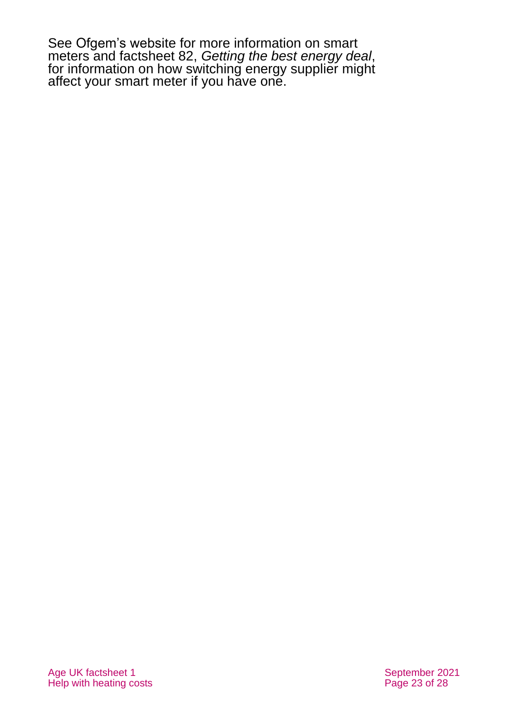See [Ofgem's website](https://www.ofgem.gov.uk/) for more information on smart meters and factsheet 82, *[Getting the best energy deal](https://www.ageuk.org.uk/globalassets/age-uk/documents/factsheets/fs82_getting_the_best_energy_deal_fcs.pdf)*, for information on how switching energy supplier might affect your smart meter if you have one.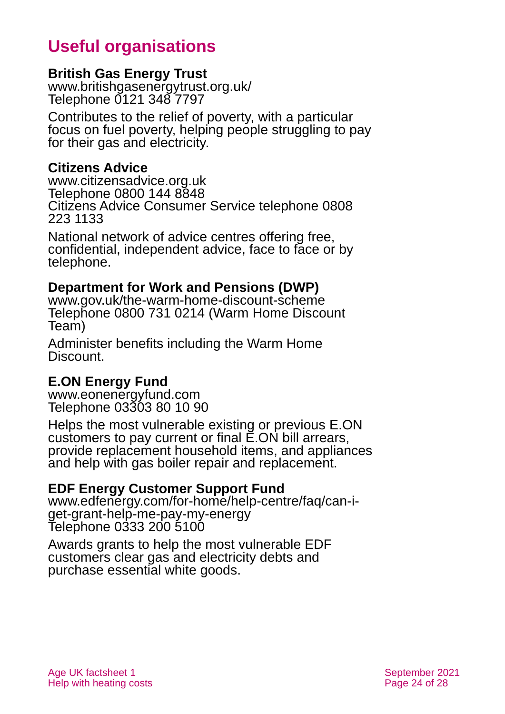# **Useful organisations**

### <span id="page-23-0"></span>**British Gas Energy Trust**

[www.britishgasenergytrust.org.uk/](http://www.britishgasenergytrust.org.uk/) Telephone 0121 348 7797

Contributes to the relief of poverty, with a particular focus on fuel poverty, helping people struggling to pay for their gas and electricity.

### **Citizens Advice**

[www.citizensadvice.org.uk](http://www.citizensadvice.org.uk/) Telephone 0800 144 8848 Citizens Advice Consumer Service telephone 0808 223 1133

National network of advice centres offering free, confidential, independent advice, face to face or by telephone.

#### **Department for Work and Pensions (DWP)**

[www.gov.uk/the-warm-home-discount-scheme](https://www.gov.uk/the-warm-home-discount-scheme) Telephone 0800 731 0214 (Warm Home Discount Team)

Administer benefits including the Warm Home Discount.

### **E.ON Energy Fund**

[www.eonenergyfund.com](https://www.eonenergyfund.com/) Telephone 03303 80 10 90

Helps the most vulnerable existing or previous E.ON customers to pay current or final E.ON bill arrears, provide replacement household items, and appliances and help with gas boiler repair and replacement.

#### **EDF Energy Customer Support Fund**

[www.edfenergy.com/for-home/help-centre/faq/can-i](http://www.edfenergy.com/for-home/help-centre/faq/can-i-get-grant-help-me-pay-my-energy)[get-grant-help-me-pay-my-energy](http://www.edfenergy.com/for-home/help-centre/faq/can-i-get-grant-help-me-pay-my-energy) Telephone 0333 200 5100

Awards grants to help the most vulnerable EDF customers clear gas and electricity debts and purchase essential white goods.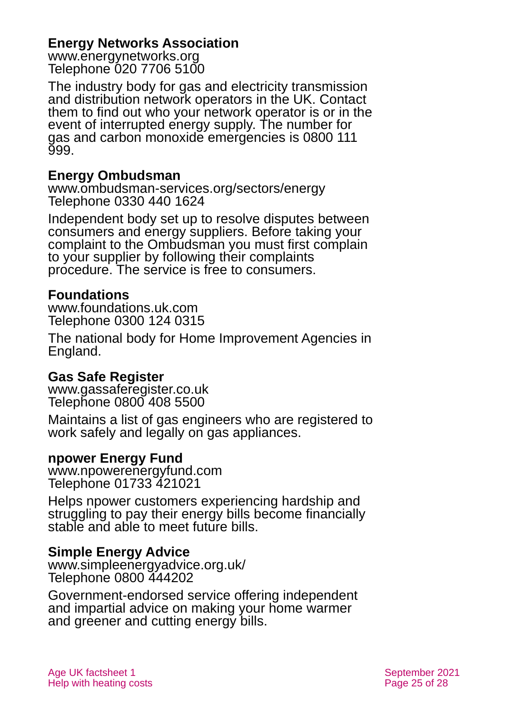### **Energy Networks Association**

[www.energynetworks.org](http://www.energynetworks.org/) Telephone 020 7706 5100

The industry body for gas and electricity transmission and distribution network operators in the UK. Contact them to find out who your network operator is or in the event of interrupted energy supply. The number for gas and carbon monoxide emergencies is 0800 111 999.

### <span id="page-24-1"></span>**Energy Ombudsman**

[www.ombudsman-services.org/sectors/energy](https://www.ombudsman-services.org/sectors/energy) Telephone 0330 440 1624

Independent body set up to resolve disputes between consumers and energy suppliers. Before taking your complaint to the Ombudsman you must first complain to your supplier by following their complaints procedure. The service is free to consumers.

### <span id="page-24-0"></span>**Foundations**

[www.foundations.uk.com](http://www.foundations.uk.com/) Telephone 0300 124 0315

The national body for Home Improvement Agencies in England.

### <span id="page-24-2"></span>**Gas Safe Register**

[www.gassaferegister.co.uk](http://www.gassaferegister.co.uk/) Telephone 0800 408 5500

Maintains a list of gas engineers who are registered to work safely and legally on gas appliances.

#### **npower Energy Fund**

[www.npowerenergyfund.com](http://www.npowerenergyfund.com/) Telephone 01733 421021

Helps npower customers experiencing hardship and struggling to pay their energy bills become financially stable and able to meet future bills.

#### **Simple Energy Advice**

[www.simpleenergyadvice.org.uk/](http://www.simpleenergyadvice.org.uk/) Telephone 0800 444202

Government-endorsed service offering independent and impartial advice on making your home warmer and greener and cutting energy bills.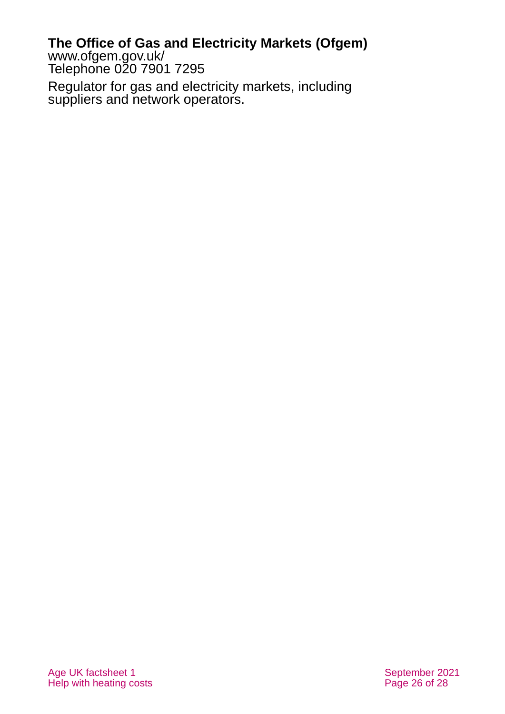### **The Office of Gas and Electricity Markets (Ofgem)**

[www.ofgem.gov.uk/](http://www.ofgem.gov.uk/) Telephone 020 7901 7295

Regulator for gas and electricity markets, including suppliers and network operators.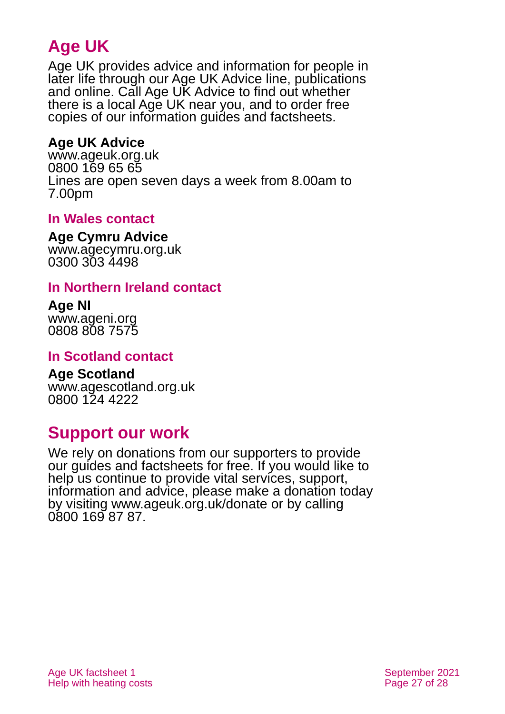# **Age UK**

Age UK provides advice and information for people in later life through our Age UK Advice line, publications and online. Call Age UK Advice to find out whether there is a local Age UK near you, and to order free copies of our information guides and factsheets.

### <span id="page-26-1"></span>**Age UK Advice**

[www.ageuk.org.uk](http://www.ageuk.org.uk/) 0800 169 65 65 Lines are open seven days a week from 8.00am to 7.00pm

### <span id="page-26-0"></span>**In Wales contact**

#### **Age Cymru Advice**

[www.agecymru.org.uk](http://www.agecymru.org.uk/) 0300 303 4498

### **In Northern Ireland contact**

#### **Age NI** [www.ageni.org](http://www.ageni.org/)

0808 808 7575

### **In Scotland contact**

# <span id="page-26-2"></span>**Age Scotland**

[www.agescotland.org.uk](http://www.agescotland.org.uk/) 0800 124 4222

# **Support our work**

We rely on donations from our supporters to provide our guides and factsheets for free. If you would like to help us continue to provide vital services, support, information and advice, please make a donation today by visiting [www.ageuk.org.uk/donate](http://www.ageuk.org.uk/donate) or by calling 0800 169 87 87.